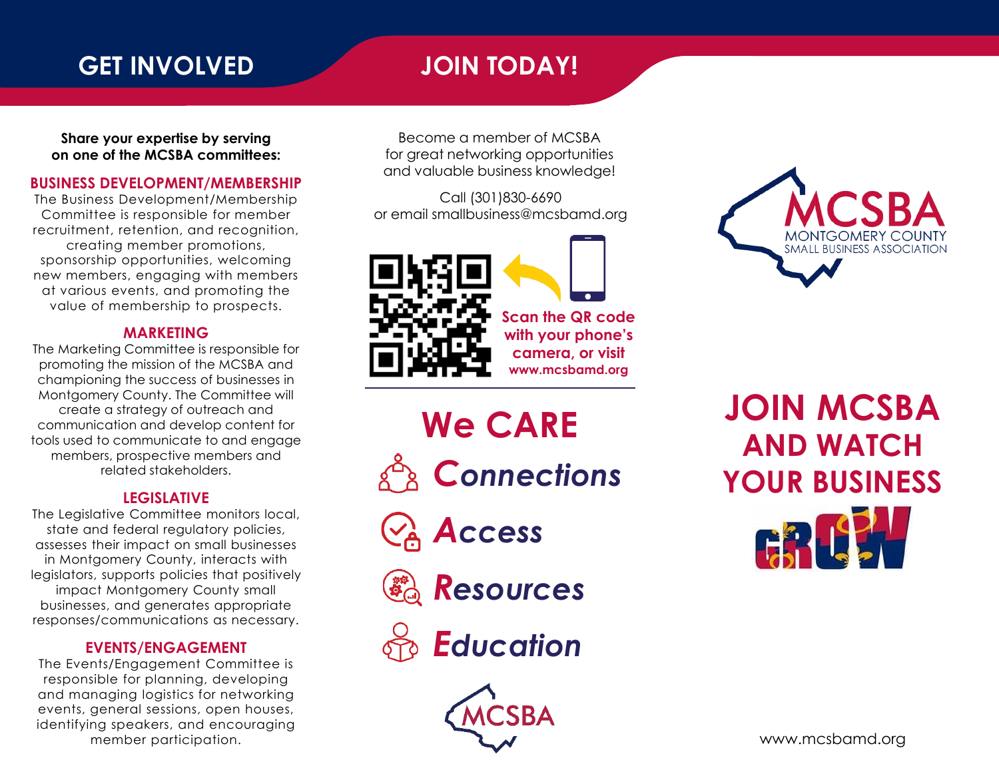### **GET INVOLVED JOIN TODAY!**

**Share your expertise by serving on one of the MCSBA committees:**

#### **BUSINESS DEVELOPMENT/MEMBERSHIP**

The Business Development/Membership Committee is responsible for member recruitment, retention, and recognition, creating member promotions, sponsorship opportunities, welcoming new members, engaging with members at various events, and promoting the value of membership to prospects.

#### **MARKETING**

The Marketing Committee is responsible for promoting the mission of the MCSBA and championing the success of businesses in Montgomery County. The Committee will create a strategy of outreach and communication and develop content for tools used to communicate to and engage members, prospective members and related stakeholders.

#### **LEGISLATIVE**

The Legislative Committee monitors local, state and federal regulatory policies, assesses their impact on small businesses in Montgomery County, interacts with legislators, supports policies that positively impact Montgomery County small businesses, and generates appropriate responses/communications as necessary.

#### **EVENTS/ENGAGEMENT**

The Events/Engagement Committee is responsible for planning, developing and managing logistics for networking events, general sessions, open houses, identifying speakers, and encouraging member participation.

Become a member of MCSBA for great networking opportunities and valuable business knowledge!

Call (301)830-6690 or email smallbusiness@mcsbamd.org



**Scan the QR code with your phone's camera, or visit www.mcsbamd.org**

*Connections Access Resources* **We CARE**





**BUSINESS ASSOCIATION** 

**JOIN MCSBA AND WATCH YOUR BUSINESS**